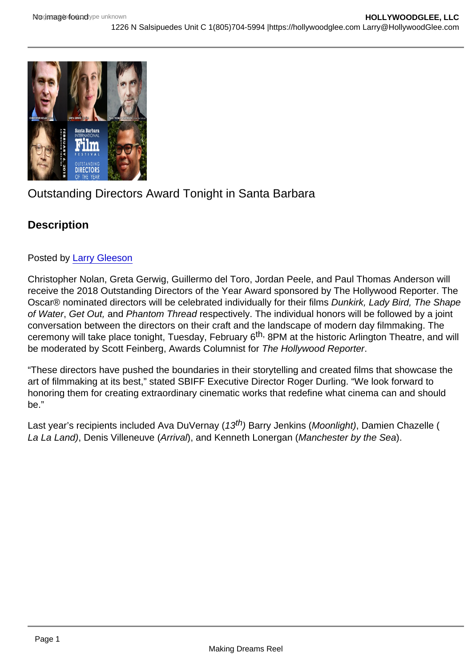# Outstanding Directors Award Tonight in Santa Barbara

**Description** 

## Posted by [Larry Gleeson](https://studentfilmreviews.org/?s=Larry+Gleeson)

Christopher Nolan, Greta Gerwig, Guillermo del Toro, Jordan Peele, and Paul Thomas Anderson will receive the 2018 Outstanding Directors of the Year Award sponsored by The Hollywood Reporter. The Oscar® nominated directors will be celebrated individually for their films Dunkirk, Lady Bird, The Shape of Water, Get Out, and Phantom Thread respectively. The individual honors will be followed by a joint conversation between the directors on their craft and the landscape of modern day filmmaking. The ceremony will take place tonight, Tuesday, February 6<sup>th,</sup> 8PM at the historic Arlington Theatre, and will be moderated by Scott Feinberg, Awards Columnist for The Hollywood Reporter.

"These directors have pushed the boundaries in their storytelling and created films that showcase the art of filmmaking at its best," stated SBIFF Executive Director Roger Durling. "We look forward to honoring them for creating extraordinary cinematic works that redefine what cinema can and should be."

Last year's recipients included Ava DuVernay (13<sup>th</sup>) Barry Jenkins (Moonlight), Damien Chazelle ( La La Land), Denis Villeneuve (Arrival), and Kenneth Lonergan (Manchester by the Sea).